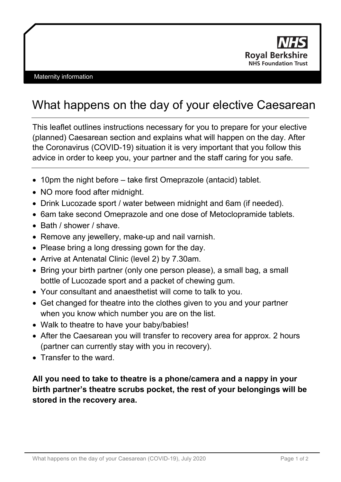

## What happens on the day of your elective Caesarean

This leaflet outlines instructions necessary for you to prepare for your elective (planned) Caesarean section and explains what will happen on the day. After the Coronavirus (COVID-19) situation it is very important that you follow this advice in order to keep you, your partner and the staff caring for you safe.

- 10pm the night before take first Omeprazole (antacid) tablet.
- NO more food after midnight.
- Drink Lucozade sport / water between midnight and 6am (if needed).
- 6am take second Omeprazole and one dose of Metoclopramide tablets.
- Bath / shower / shave.
- Remove any jewellery, make-up and nail varnish.
- Please bring a long dressing gown for the day.
- Arrive at Antenatal Clinic (level 2) by 7.30am.
- Bring your birth partner (only one person please), a small bag, a small bottle of Lucozade sport and a packet of chewing gum.
- Your consultant and anaesthetist will come to talk to you.
- Get changed for theatre into the clothes given to you and your partner when you know which number you are on the list.
- Walk to theatre to have your baby/babies!
- After the Caesarean you will transfer to recovery area for approx. 2 hours (partner can currently stay with you in recovery).
- Transfer to the ward.

## **All you need to take to theatre is a phone/camera and a nappy in your birth partner's theatre scrubs pocket, the rest of your belongings will be stored in the recovery area.**